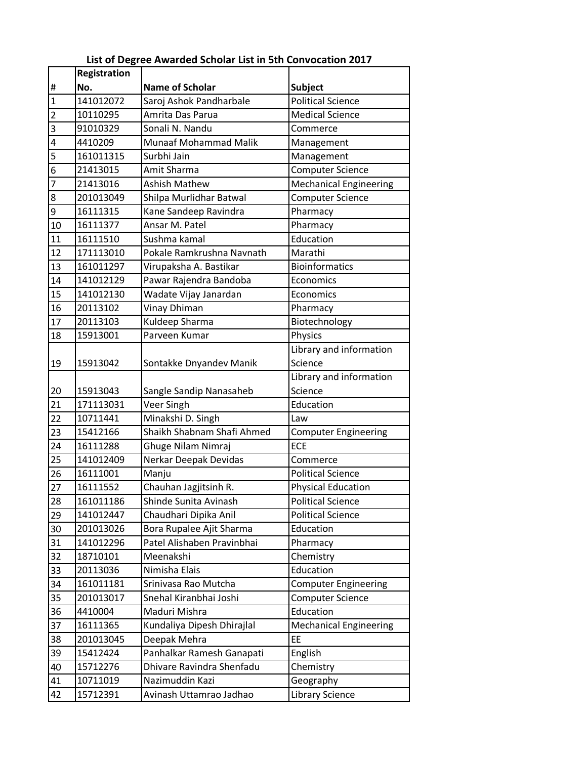| <b>Name of Scholar</b><br>No.<br><b>Subject</b><br>#<br>$\overline{1}$<br>141012072<br>Saroj Ashok Pandharbale<br><b>Political Science</b><br>$\overline{2}$<br>10110295<br>Amrita Das Parua<br><b>Medical Science</b><br>91010329<br>Sonali N. Nandu<br>3<br>Commerce<br>4<br><b>Munaaf Mohammad Malik</b><br>4410209<br>Management<br>Surbhi Jain<br>161011315<br>5<br>Management<br>6<br>21413015<br>Amit Sharma<br><b>Computer Science</b> |  |
|------------------------------------------------------------------------------------------------------------------------------------------------------------------------------------------------------------------------------------------------------------------------------------------------------------------------------------------------------------------------------------------------------------------------------------------------|--|
|                                                                                                                                                                                                                                                                                                                                                                                                                                                |  |
|                                                                                                                                                                                                                                                                                                                                                                                                                                                |  |
|                                                                                                                                                                                                                                                                                                                                                                                                                                                |  |
|                                                                                                                                                                                                                                                                                                                                                                                                                                                |  |
|                                                                                                                                                                                                                                                                                                                                                                                                                                                |  |
|                                                                                                                                                                                                                                                                                                                                                                                                                                                |  |
|                                                                                                                                                                                                                                                                                                                                                                                                                                                |  |
| <b>Ashish Mathew</b><br>7<br>21413016<br><b>Mechanical Engineering</b>                                                                                                                                                                                                                                                                                                                                                                         |  |
| Shilpa Murlidhar Batwal<br>8<br>201013049<br><b>Computer Science</b>                                                                                                                                                                                                                                                                                                                                                                           |  |
| 9<br>Kane Sandeep Ravindra<br>Pharmacy<br>16111315                                                                                                                                                                                                                                                                                                                                                                                             |  |
| Pharmacy<br>16111377<br>Ansar M. Patel<br>10                                                                                                                                                                                                                                                                                                                                                                                                   |  |
| 11<br>Education<br>Sushma kamal<br>16111510                                                                                                                                                                                                                                                                                                                                                                                                    |  |
| Marathi<br>171113010<br>12<br>Pokale Ramkrushna Navnath                                                                                                                                                                                                                                                                                                                                                                                        |  |
| <b>Bioinformatics</b><br>161011297<br>13<br>Virupaksha A. Bastikar                                                                                                                                                                                                                                                                                                                                                                             |  |
| Pawar Rajendra Bandoba<br>14<br>141012129<br>Economics                                                                                                                                                                                                                                                                                                                                                                                         |  |
| 141012130<br>Wadate Vijay Janardan<br>Economics<br>15                                                                                                                                                                                                                                                                                                                                                                                          |  |
| 16<br>Vinay Dhiman<br>20113102<br>Pharmacy                                                                                                                                                                                                                                                                                                                                                                                                     |  |
| Kuldeep Sharma<br>Biotechnology<br>20113103<br>17                                                                                                                                                                                                                                                                                                                                                                                              |  |
| Parveen Kumar<br>Physics<br>15913001<br>18                                                                                                                                                                                                                                                                                                                                                                                                     |  |
| Library and information                                                                                                                                                                                                                                                                                                                                                                                                                        |  |
| Science<br>15913042<br>Sontakke Dnyandev Manik<br>19                                                                                                                                                                                                                                                                                                                                                                                           |  |
| Library and information                                                                                                                                                                                                                                                                                                                                                                                                                        |  |
| Science<br>15913043<br>Sangle Sandip Nanasaheb<br>20                                                                                                                                                                                                                                                                                                                                                                                           |  |
| Veer Singh<br>Education<br>171113031<br>21                                                                                                                                                                                                                                                                                                                                                                                                     |  |
| 22<br>Minakshi D. Singh<br>10711441<br>Law                                                                                                                                                                                                                                                                                                                                                                                                     |  |
| Shaikh Shabnam Shafi Ahmed<br>15412166<br>23<br><b>Computer Engineering</b>                                                                                                                                                                                                                                                                                                                                                                    |  |
| <b>ECE</b><br>24<br>Ghuge Nilam Nimraj<br>16111288                                                                                                                                                                                                                                                                                                                                                                                             |  |
| 141012409<br>Nerkar Deepak Devidas<br>25<br>Commerce                                                                                                                                                                                                                                                                                                                                                                                           |  |
| 26<br>16111001<br>Manju<br><b>Political Science</b>                                                                                                                                                                                                                                                                                                                                                                                            |  |
| Chauhan Jagjitsinh R.<br>27<br>16111552<br><b>Physical Education</b>                                                                                                                                                                                                                                                                                                                                                                           |  |
| 161011186<br>Shinde Sunita Avinash<br><b>Political Science</b><br>28                                                                                                                                                                                                                                                                                                                                                                           |  |
| 29<br>141012447<br>Chaudhari Dipika Anil<br><b>Political Science</b>                                                                                                                                                                                                                                                                                                                                                                           |  |
| Bora Rupalee Ajit Sharma<br>201013026<br>Education<br>30                                                                                                                                                                                                                                                                                                                                                                                       |  |
| Patel Alishaben Pravinbhai<br>31<br>141012296<br>Pharmacy                                                                                                                                                                                                                                                                                                                                                                                      |  |
| 32<br>18710101<br>Meenakshi<br>Chemistry                                                                                                                                                                                                                                                                                                                                                                                                       |  |
| Nimisha Elais<br>Education<br>33<br>20113036                                                                                                                                                                                                                                                                                                                                                                                                   |  |
| 34<br>161011181<br>Srinivasa Rao Mutcha<br><b>Computer Engineering</b>                                                                                                                                                                                                                                                                                                                                                                         |  |
| 201013017<br>35<br>Snehal Kiranbhai Joshi<br><b>Computer Science</b>                                                                                                                                                                                                                                                                                                                                                                           |  |
| Maduri Mishra<br>Education<br>36<br>4410004                                                                                                                                                                                                                                                                                                                                                                                                    |  |
| 37<br>Kundaliya Dipesh Dhirajlal<br>16111365<br><b>Mechanical Engineering</b>                                                                                                                                                                                                                                                                                                                                                                  |  |
| 201013045<br>Deepak Mehra<br>EE<br>38                                                                                                                                                                                                                                                                                                                                                                                                          |  |
| Panhalkar Ramesh Ganapati<br>39<br>15412424<br>English                                                                                                                                                                                                                                                                                                                                                                                         |  |
| Dhivare Ravindra Shenfadu<br>40<br>15712276<br>Chemistry                                                                                                                                                                                                                                                                                                                                                                                       |  |
| Nazimuddin Kazi<br>41<br>10711019<br>Geography                                                                                                                                                                                                                                                                                                                                                                                                 |  |
| 42<br>15712391<br>Library Science<br>Avinash Uttamrao Jadhao                                                                                                                                                                                                                                                                                                                                                                                   |  |

## **List of Degree Awarded Scholar List in 5th Convocation 2017**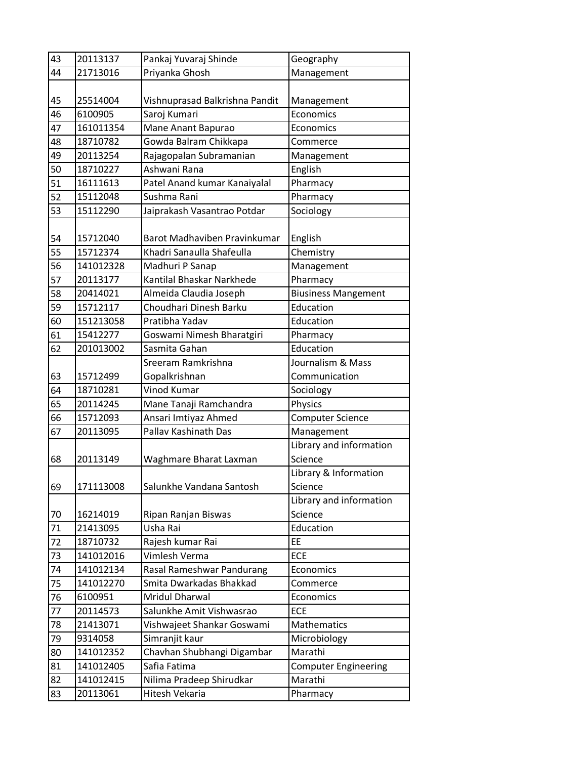| 43 | 20113137  | Pankaj Yuvaraj Shinde          | Geography                   |
|----|-----------|--------------------------------|-----------------------------|
| 44 | 21713016  | Priyanka Ghosh                 | Management                  |
|    |           |                                |                             |
| 45 | 25514004  | Vishnuprasad Balkrishna Pandit | Management                  |
| 46 | 6100905   | Saroj Kumari                   | Economics                   |
| 47 | 161011354 | Mane Anant Bapurao             | Economics                   |
| 48 | 18710782  | Gowda Balram Chikkapa          | Commerce                    |
| 49 | 20113254  | Rajagopalan Subramanian        | Management                  |
| 50 | 18710227  | Ashwani Rana                   | English                     |
| 51 | 16111613  | Patel Anand kumar Kanaiyalal   | Pharmacy                    |
| 52 | 15112048  | Sushma Rani                    | Pharmacy                    |
| 53 | 15112290  | Jaiprakash Vasantrao Potdar    | Sociology                   |
|    |           |                                |                             |
| 54 | 15712040  | Barot Madhaviben Pravinkumar   | English                     |
| 55 | 15712374  | Khadri Sanaulla Shafeulla      | Chemistry                   |
| 56 | 141012328 | Madhuri P Sanap                | Management                  |
| 57 | 20113177  | Kantilal Bhaskar Narkhede      | Pharmacy                    |
| 58 | 20414021  | Almeida Claudia Joseph         | <b>Biusiness Mangement</b>  |
| 59 | 15712117  | Choudhari Dinesh Barku         | Education                   |
| 60 | 151213058 | Pratibha Yadav                 | Education                   |
| 61 | 15412277  | Goswami Nimesh Bharatgiri      | Pharmacy                    |
| 62 | 201013002 | Sasmita Gahan                  | Education                   |
|    |           | Sreeram Ramkrishna             | Journalism & Mass           |
| 63 | 15712499  | Gopalkrishnan                  | Communication               |
| 64 | 18710281  | <b>Vinod Kumar</b>             | Sociology                   |
| 65 | 20114245  | Mane Tanaji Ramchandra         | Physics                     |
| 66 | 15712093  | Ansari Imtiyaz Ahmed           | <b>Computer Science</b>     |
| 67 | 20113095  | Pallav Kashinath Das           | Management                  |
|    |           |                                | Library and information     |
| 68 | 20113149  | Waghmare Bharat Laxman         | Science                     |
|    |           |                                | Library & Information       |
| 69 | 171113008 | Salunkhe Vandana Santosh       | Science                     |
|    |           |                                | Library and information     |
| 70 | 16214019  | Ripan Ranjan Biswas            | Science                     |
| 71 | 21413095  | Usha Rai                       | Education                   |
| 72 | 18710732  | Rajesh kumar Rai               | EE                          |
| 73 | 141012016 | Vimlesh Verma                  | <b>ECE</b>                  |
| 74 | 141012134 | Rasal Rameshwar Pandurang      | Economics                   |
| 75 | 141012270 | Smita Dwarkadas Bhakkad        | Commerce                    |
| 76 | 6100951   | <b>Mridul Dharwal</b>          | Economics                   |
| 77 | 20114573  | Salunkhe Amit Vishwasrao       | <b>ECE</b>                  |
| 78 | 21413071  | Vishwajeet Shankar Goswami     | Mathematics                 |
| 79 | 9314058   | Simranjit kaur                 | Microbiology                |
| 80 | 141012352 | Chavhan Shubhangi Digambar     | Marathi                     |
| 81 | 141012405 | Safia Fatima                   | <b>Computer Engineering</b> |
| 82 | 141012415 | Nilima Pradeep Shirudkar       | Marathi                     |
| 83 | 20113061  | Hitesh Vekaria                 | Pharmacy                    |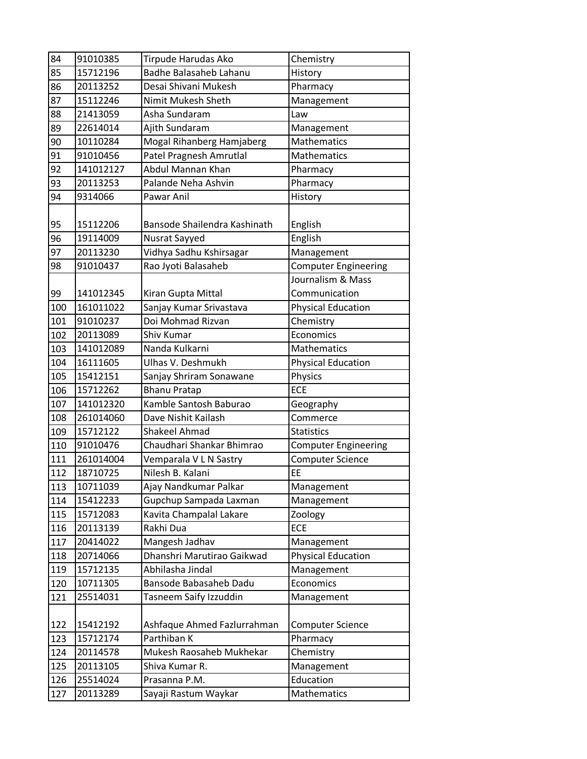| 84  | 91010385  | Tirpude Harudas Ako           | Chemistry                   |
|-----|-----------|-------------------------------|-----------------------------|
| 85  | 15712196  | <b>Badhe Balasaheb Lahanu</b> | History                     |
| 86  | 20113252  | Desai Shivani Mukesh          | Pharmacy                    |
| 87  | 15112246  | Nimit Mukesh Sheth            | Management                  |
| 88  | 21413059  | Asha Sundaram                 | Law                         |
| 89  | 22614014  | Ajith Sundaram                | Management                  |
| 90  | 10110284  | Mogal Rihanberg Hamjaberg     | <b>Mathematics</b>          |
| 91  | 91010456  | Patel Pragnesh Amrutlal       | Mathematics                 |
| 92  | 141012127 | Abdul Mannan Khan             | Pharmacy                    |
| 93  | 20113253  | Palande Neha Ashvin           | Pharmacy                    |
| 94  | 9314066   | Pawar Anil                    | History                     |
|     |           |                               |                             |
| 95  | 15112206  | Bansode Shailendra Kashinath  | English                     |
| 96  | 19114009  | Nusrat Sayyed                 | English                     |
| 97  | 20113230  | Vidhya Sadhu Kshirsagar       | Management                  |
| 98  | 91010437  | Rao Jyoti Balasaheb           | <b>Computer Engineering</b> |
|     |           |                               | Journalism & Mass           |
| 99  | 141012345 | Kiran Gupta Mittal            | Communication               |
| 100 | 161011022 | Sanjay Kumar Srivastava       | <b>Physical Education</b>   |
| 101 | 91010237  | Doi Mohmad Rizvan             | Chemistry                   |
| 102 | 20113089  | Shiv Kumar                    | Economics                   |
| 103 | 141012089 | Nanda Kulkarni                | <b>Mathematics</b>          |
| 104 | 16111605  | Ulhas V. Deshmukh             | <b>Physical Education</b>   |
| 105 | 15412151  | Sanjay Shriram Sonawane       | Physics                     |
| 106 | 15712262  | <b>Bhanu Pratap</b>           | <b>ECE</b>                  |
| 107 | 141012320 | Kamble Santosh Baburao        | Geography                   |
| 108 | 261014060 | Dave Nishit Kailash           | Commerce                    |
| 109 | 15712122  | <b>Shakeel Ahmad</b>          | <b>Statistics</b>           |
| 110 | 91010476  | Chaudhari Shankar Bhimrao     | <b>Computer Engineering</b> |
| 111 | 261014004 | Vemparala V L N Sastry        | Computer Science            |
| 112 | 18710725  | Nilesh B. Kalani              | EE                          |
| 113 | 10711039  | Ajay Nandkumar Palkar         | Management                  |
| 114 | 15412233  | Gupchup Sampada Laxman        | Management                  |
| 115 | 15712083  | Kavita Champalal Lakare       | Zoology                     |
| 116 | 20113139  | Rakhi Dua                     | <b>ECE</b>                  |
| 117 | 20414022  | Mangesh Jadhav                | Management                  |
| 118 | 20714066  | Dhanshri Marutirao Gaikwad    | <b>Physical Education</b>   |
| 119 | 15712135  | Abhilasha Jindal              | Management                  |
| 120 | 10711305  | Bansode Babasaheb Dadu        | Economics                   |
| 121 | 25514031  | Tasneem Saify Izzuddin        | Management                  |
|     |           |                               |                             |
| 122 | 15412192  | Ashfaque Ahmed Fazlurrahman   | <b>Computer Science</b>     |
| 123 | 15712174  | Parthiban K                   | Pharmacy                    |
| 124 | 20114578  | Mukesh Raosaheb Mukhekar      | Chemistry                   |
| 125 | 20113105  | Shiva Kumar R.                | Management                  |
| 126 | 25514024  | Prasanna P.M.                 | Education                   |
| 127 | 20113289  | Sayaji Rastum Waykar          | Mathematics                 |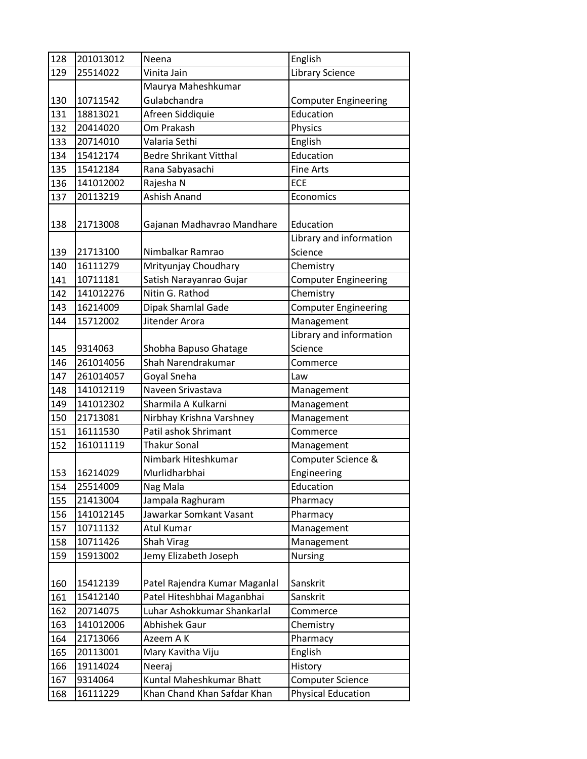| 128<br>201013012<br>Neena                                                       | English                            |
|---------------------------------------------------------------------------------|------------------------------------|
| 25514022<br>129<br>Vinita Jain                                                  | <b>Library Science</b>             |
| Maurya Maheshkumar                                                              |                                    |
| Gulabchandra<br>130<br>10711542                                                 | <b>Computer Engineering</b>        |
| 18813021<br>Afreen Siddiquie<br>131                                             | Education                          |
| Om Prakash<br>132<br>20414020                                                   | Physics                            |
| 133<br>Valaria Sethi<br>20714010                                                | English                            |
| 15412174<br><b>Bedre Shrikant Vitthal</b><br>134                                | Education                          |
| 135<br>15412184<br>Rana Sabyasachi                                              | <b>Fine Arts</b>                   |
| <b>ECE</b><br>136<br>141012002<br>Rajesha N                                     |                                    |
| Ashish Anand<br>137<br>20113219                                                 | Economics                          |
| 138<br>21713008<br>Gajanan Madhavrao Mandhare                                   | Education                          |
|                                                                                 | Library and information<br>Science |
| 139<br>21713100<br>Nimbalkar Ramrao                                             |                                    |
| 16111279<br>Mrityunjay Choudhary<br>140                                         | Chemistry                          |
| 141<br>10711181<br>Satish Narayanrao Gujar<br>Nitin G. Rathod                   | <b>Computer Engineering</b>        |
| 141012276<br>142                                                                | Chemistry                          |
| 143<br>16214009<br>Dipak Shamlal Gade                                           | <b>Computer Engineering</b>        |
| Jitender Arora<br>15712002<br>144                                               | Management                         |
|                                                                                 | Library and information            |
| 145<br>9314063<br>Shobha Bapuso Ghatage                                         | Science                            |
| Shah Narendrakumar<br>261014056<br>146                                          | Commerce                           |
| 147<br>261014057<br>Law<br>Goyal Sneha<br>Naveen Srivastava                     |                                    |
| 141012119<br>148<br>Sharmila A Kulkarni                                         | Management                         |
| 141012302<br>149                                                                | Management                         |
| 150<br>21713081<br>Nirbhay Krishna Varshney<br>Patil ashok Shrimant<br>16111530 | Management                         |
| 151<br><b>Thakur Sonal</b>                                                      | Commerce                           |
| 152<br>161011119<br>Nimbark Hiteshkumar                                         | Management<br>Computer Science &   |
| Murlidharbhai<br>153<br>16214029                                                | Engineering                        |
| 154<br>25514009<br>Nag Mala                                                     | Education                          |
| 21413004<br>Jampala Raghuram<br>155                                             | Pharmacy                           |
| Jawarkar Somkant Vasant<br>141012145<br>156                                     | Pharmacy                           |
| 157<br>10711132<br>Atul Kumar                                                   | Management                         |
| 158<br>10711426<br>Shah Virag                                                   | Management                         |
| 159<br>15913002<br>Jemy Elizabeth Joseph                                        | <b>Nursing</b>                     |
|                                                                                 |                                    |
| 15412139<br>Patel Rajendra Kumar Maganlal<br>160                                | Sanskrit                           |
| Patel Hiteshbhai Maganbhai<br>161<br>15412140                                   | Sanskrit                           |
| 20714075<br>Luhar Ashokkumar Shankarlal<br>162                                  | Commerce                           |
| 163<br>141012006<br>Abhishek Gaur                                               | Chemistry                          |
| 21713066<br>164<br>Azeem A K                                                    | Pharmacy                           |
| 165<br>20113001<br>Mary Kavitha Viju                                            | English                            |
| 19114024<br>166<br>Neeraj                                                       | History                            |
| Kuntal Maheshkumar Bhatt<br>167<br>9314064                                      |                                    |
|                                                                                 | <b>Computer Science</b>            |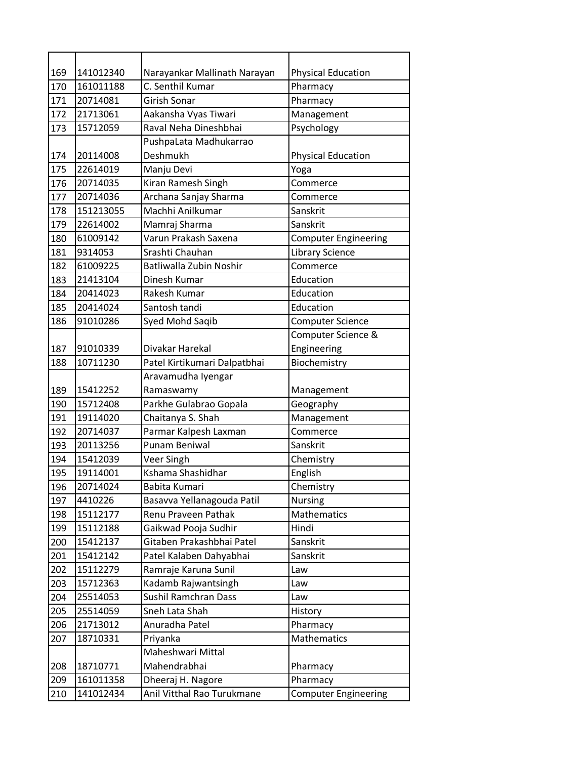| 169 | 141012340 | Narayankar Mallinath Narayan | <b>Physical Education</b>   |
|-----|-----------|------------------------------|-----------------------------|
| 170 | 161011188 | C. Senthil Kumar             | Pharmacy                    |
| 171 | 20714081  | Girish Sonar                 | Pharmacy                    |
| 172 | 21713061  | Aakansha Vyas Tiwari         | Management                  |
| 173 | 15712059  | Raval Neha Dineshbhai        | Psychology                  |
|     |           | PushpaLata Madhukarrao       |                             |
| 174 | 20114008  | <b>Deshmukh</b>              | <b>Physical Education</b>   |
| 175 | 22614019  | Manju Devi                   | Yoga                        |
| 176 | 20714035  | Kiran Ramesh Singh           | Commerce                    |
| 177 | 20714036  | Archana Sanjay Sharma        | Commerce                    |
| 178 | 151213055 | Machhi Anilkumar             | Sanskrit                    |
| 179 | 22614002  | Mamraj Sharma                | Sanskrit                    |
| 180 | 61009142  | Varun Prakash Saxena         | <b>Computer Engineering</b> |
| 181 | 9314053   | Srashti Chauhan              | <b>Library Science</b>      |
| 182 | 61009225  | Batliwalla Zubin Noshir      | Commerce                    |
| 183 | 21413104  | Dinesh Kumar                 | Education                   |
| 184 | 20414023  | Rakesh Kumar                 | Education                   |
| 185 | 20414024  | Santosh tandi                | Education                   |
| 186 | 91010286  | Syed Mohd Saqib              | Computer Science            |
|     |           |                              | Computer Science &          |
| 187 | 91010339  | Divakar Harekal              | Engineering                 |
| 188 | 10711230  | Patel Kirtikumari Dalpatbhai | Biochemistry                |
|     |           | Aravamudha Iyengar           |                             |
| 189 | 15412252  | Ramaswamy                    | Management                  |
| 190 | 15712408  | Parkhe Gulabrao Gopala       | Geography                   |
| 191 | 19114020  | Chaitanya S. Shah            | Management                  |
| 192 | 20714037  | Parmar Kalpesh Laxman        | Commerce                    |
| 193 | 20113256  | <b>Punam Beniwal</b>         | Sanskrit                    |
| 194 | 15412039  | Veer Singh                   | Chemistry                   |
| 195 | 19114001  | Kshama Shashidhar            | English                     |
| 196 | 20714024  | Babita Kumari                | Chemistry                   |
| 197 | 4410226   | Basavva Yellanagouda Patil   | <b>Nursing</b>              |
| 198 | 15112177  | Renu Praveen Pathak          | Mathematics                 |
| 199 | 15112188  | Gaikwad Pooja Sudhir         | Hindi                       |
| 200 | 15412137  | Gitaben Prakashbhai Patel    | Sanskrit                    |
| 201 | 15412142  | Patel Kalaben Dahyabhai      | Sanskrit                    |
| 202 | 15112279  | Ramraje Karuna Sunil         | Law                         |
| 203 | 15712363  | Kadamb Rajwantsingh          | Law                         |
| 204 | 25514053  | <b>Sushil Ramchran Dass</b>  | Law                         |
| 205 | 25514059  | Sneh Lata Shah               | History                     |
| 206 | 21713012  | Anuradha Patel               | Pharmacy                    |
| 207 | 18710331  | Priyanka                     | Mathematics                 |
|     |           | Maheshwari Mittal            |                             |
| 208 | 18710771  | Mahendrabhai                 | Pharmacy                    |
| 209 | 161011358 | Dheeraj H. Nagore            | Pharmacy                    |
| 210 | 141012434 | Anil Vitthal Rao Turukmane   | Computer Engineering        |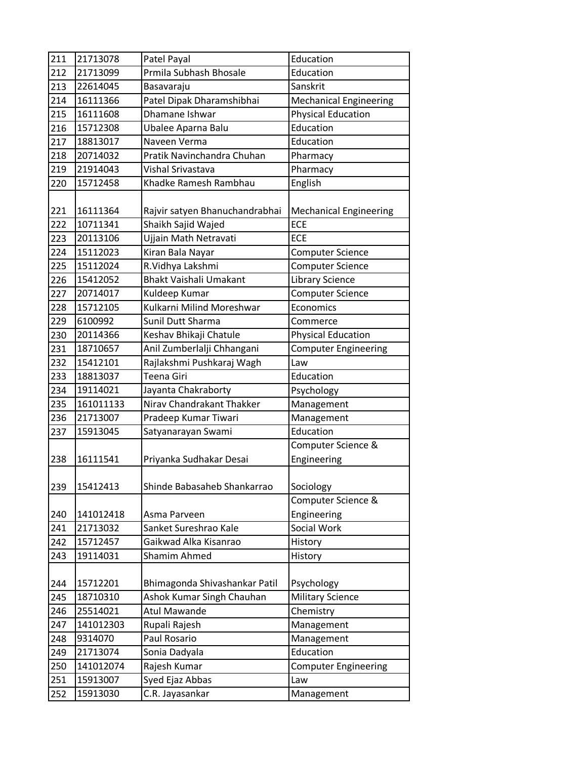| 211 | 21713078  | Patel Payal                    | Education                         |
|-----|-----------|--------------------------------|-----------------------------------|
| 212 | 21713099  | Prmila Subhash Bhosale         | Education                         |
| 213 | 22614045  | Basavaraju                     | Sanskrit                          |
| 214 | 16111366  | Patel Dipak Dharamshibhai      | <b>Mechanical Engineering</b>     |
| 215 | 16111608  | Dhamane Ishwar                 | <b>Physical Education</b>         |
| 216 | 15712308  | Ubalee Aparna Balu             | Education                         |
| 217 | 18813017  | Naveen Verma                   | Education                         |
| 218 | 20714032  | Pratik Navinchandra Chuhan     | Pharmacy                          |
| 219 | 21914043  | Vishal Srivastava              | Pharmacy                          |
| 220 | 15712458  | Khadke Ramesh Rambhau          | English                           |
| 221 | 16111364  | Rajvir satyen Bhanuchandrabhai | <b>Mechanical Engineering</b>     |
| 222 | 10711341  | Shaikh Sajid Wajed             | <b>ECE</b>                        |
| 223 | 20113106  | Ujjain Math Netravati          | <b>ECE</b>                        |
| 224 | 15112023  | Kiran Bala Nayar               | <b>Computer Science</b>           |
| 225 | 15112024  | R.Vidhya Lakshmi               | <b>Computer Science</b>           |
| 226 | 15412052  | <b>Bhakt Vaishali Umakant</b>  | <b>Library Science</b>            |
| 227 | 20714017  | Kuldeep Kumar                  | <b>Computer Science</b>           |
| 228 | 15712105  | Kulkarni Milind Moreshwar      | Economics                         |
| 229 | 6100992   | Sunil Dutt Sharma              | Commerce                          |
| 230 | 20114366  | Keshav Bhikaji Chatule         | <b>Physical Education</b>         |
| 231 | 18710657  | Anil Zumberlalji Chhangani     | <b>Computer Engineering</b>       |
| 232 | 15412101  | Rajlakshmi Pushkaraj Wagh      | Law                               |
| 233 | 18813037  | Teena Giri                     | Education                         |
| 234 | 19114021  | Jayanta Chakraborty            | Psychology                        |
| 235 | 161011133 | Nirav Chandrakant Thakker      | Management                        |
| 236 | 21713007  | Pradeep Kumar Tiwari           | Management                        |
| 237 | 15913045  | Satyanarayan Swami             | Education                         |
| 238 | 16111541  | Priyanka Sudhakar Desai        | Computer Science &<br>Engineering |
| 239 | 15412413  | Shinde Babasaheb Shankarrao    | Sociology                         |
|     |           |                                | Computer Science &                |
| 240 | 141012418 | Asma Parveen                   | Engineering                       |
| 241 | 21713032  | Sanket Sureshrao Kale          | Social Work                       |
| 242 | 15712457  | Gaikwad Alka Kisanrao          | History                           |
| 243 | 19114031  | <b>Shamim Ahmed</b>            | History                           |
|     |           |                                |                                   |
| 244 | 15712201  | Bhimagonda Shivashankar Patil  | Psychology                        |
| 245 | 18710310  | Ashok Kumar Singh Chauhan      | <b>Military Science</b>           |
| 246 | 25514021  | Atul Mawande                   | Chemistry                         |
| 247 | 141012303 | Rupali Rajesh                  | Management                        |
| 248 | 9314070   | Paul Rosario                   | Management                        |
| 249 | 21713074  | Sonia Dadyala                  | Education                         |
| 250 | 141012074 | Rajesh Kumar                   | <b>Computer Engineering</b>       |
| 251 | 15913007  | Syed Ejaz Abbas                | Law                               |
| 252 | 15913030  | C.R. Jayasankar                | Management                        |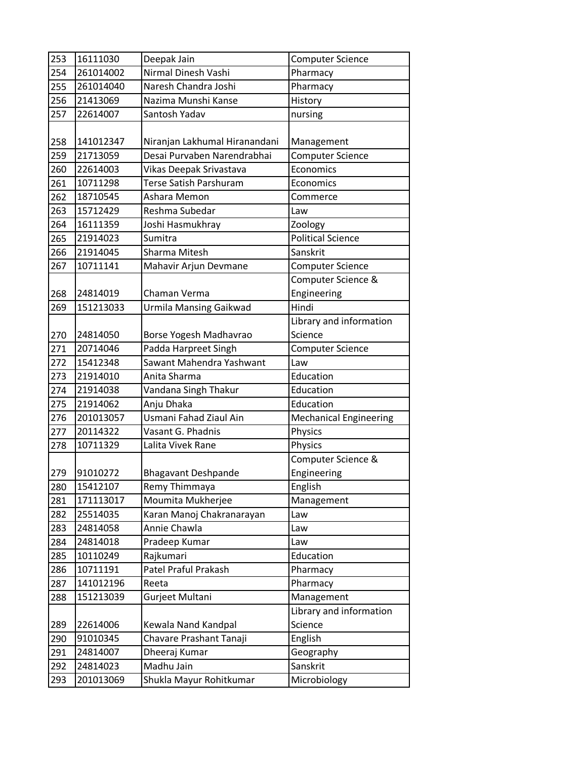| 253 | 16111030  | Deepak Jain                   | <b>Computer Science</b>       |
|-----|-----------|-------------------------------|-------------------------------|
| 254 | 261014002 | Nirmal Dinesh Vashi           | Pharmacy                      |
| 255 | 261014040 | Naresh Chandra Joshi          | Pharmacy                      |
| 256 | 21413069  | Nazima Munshi Kanse           | History                       |
| 257 | 22614007  | Santosh Yadav                 | nursing                       |
|     |           |                               |                               |
| 258 | 141012347 | Niranjan Lakhumal Hiranandani | Management                    |
| 259 | 21713059  | Desai Purvaben Narendrabhai   | <b>Computer Science</b>       |
| 260 | 22614003  | Vikas Deepak Srivastava       | Economics                     |
| 261 | 10711298  | <b>Terse Satish Parshuram</b> | Economics                     |
| 262 | 18710545  | Ashara Memon                  | Commerce                      |
| 263 | 15712429  | Reshma Subedar                | Law                           |
| 264 | 16111359  | Joshi Hasmukhray              | Zoology                       |
| 265 | 21914023  | Sumitra                       | <b>Political Science</b>      |
| 266 | 21914045  | Sharma Mitesh                 | Sanskrit                      |
| 267 | 10711141  | Mahavir Arjun Devmane         | <b>Computer Science</b>       |
|     |           |                               | Computer Science &            |
| 268 | 24814019  | Chaman Verma                  | Engineering                   |
| 269 | 151213033 | <b>Urmila Mansing Gaikwad</b> | Hindi                         |
|     |           |                               | Library and information       |
| 270 | 24814050  | Borse Yogesh Madhavrao        | Science                       |
| 271 | 20714046  | Padda Harpreet Singh          | Computer Science              |
| 272 | 15412348  | Sawant Mahendra Yashwant      | Law                           |
| 273 | 21914010  | Anita Sharma                  | Education                     |
| 274 | 21914038  | Vandana Singh Thakur          | Education                     |
| 275 | 21914062  | Anju Dhaka                    | Education                     |
| 276 | 201013057 | Usmani Fahad Ziaul Ain        | <b>Mechanical Engineering</b> |
| 277 | 20114322  | Vasant G. Phadnis             | Physics                       |
| 278 | 10711329  | Lalita Vivek Rane             | Physics                       |
|     |           |                               | Computer Science &            |
| 279 | 91010272  | <b>Bhagavant Deshpande</b>    | Engineering                   |
| 280 | 15412107  | Remy Thimmaya                 | English                       |
| 281 | 171113017 | Moumita Mukherjee             | Management                    |
| 282 | 25514035  | Karan Manoj Chakranarayan     | Law                           |
| 283 | 24814058  | Annie Chawla                  | Law                           |
| 284 | 24814018  | Pradeep Kumar                 | Law                           |
| 285 | 10110249  | Rajkumari                     | Education                     |
| 286 | 10711191  | Patel Praful Prakash          | Pharmacy                      |
| 287 | 141012196 | Reeta                         | Pharmacy                      |
| 288 | 151213039 | Gurjeet Multani               | Management                    |
|     |           |                               | Library and information       |
| 289 | 22614006  | Kewala Nand Kandpal           | Science                       |
| 290 | 91010345  | Chavare Prashant Tanaji       | English                       |
| 291 | 24814007  | Dheeraj Kumar                 | Geography                     |
| 292 | 24814023  | Madhu Jain                    | Sanskrit                      |
| 293 | 201013069 | Shukla Mayur Rohitkumar       | Microbiology                  |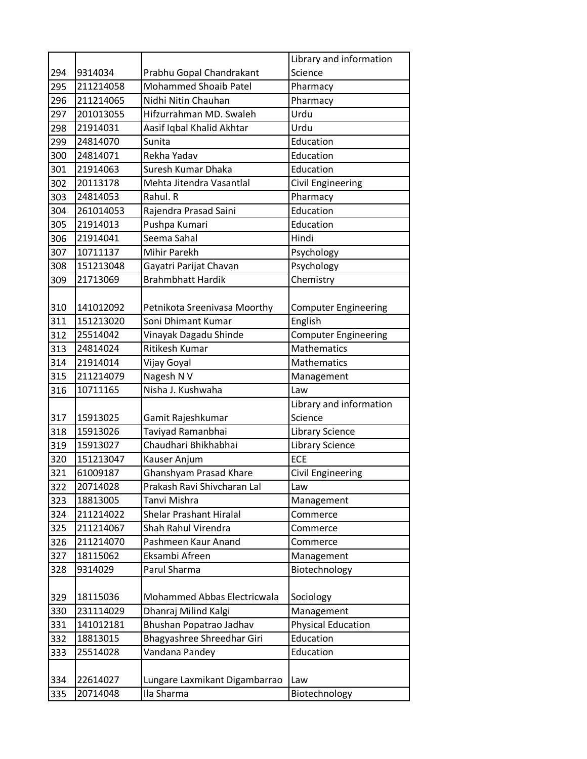|     |           |                                | Library and information                |
|-----|-----------|--------------------------------|----------------------------------------|
| 294 | 9314034   | Prabhu Gopal Chandrakant       | Science                                |
| 295 | 211214058 | <b>Mohammed Shoaib Patel</b>   | Pharmacy                               |
| 296 | 211214065 | Nidhi Nitin Chauhan            | Pharmacy                               |
| 297 | 201013055 | Hifzurrahman MD. Swaleh        | Urdu                                   |
| 298 | 21914031  | Aasif Iqbal Khalid Akhtar      | Urdu                                   |
| 299 | 24814070  | Sunita                         | Education                              |
| 300 | 24814071  | Rekha Yadav                    | Education                              |
| 301 | 21914063  | Suresh Kumar Dhaka             | Education                              |
| 302 | 20113178  | Mehta Jitendra Vasantlal       | <b>Civil Engineering</b>               |
| 303 | 24814053  | Rahul. R                       | Pharmacy                               |
| 304 | 261014053 | Rajendra Prasad Saini          | Education                              |
| 305 | 21914013  | Pushpa Kumari                  | Education                              |
| 306 | 21914041  | Seema Sahal                    | Hindi                                  |
| 307 | 10711137  | Mihir Parekh                   | Psychology                             |
| 308 | 151213048 | Gayatri Parijat Chavan         | Psychology                             |
| 309 | 21713069  | <b>Brahmbhatt Hardik</b>       | Chemistry                              |
|     |           |                                |                                        |
| 310 | 141012092 | Petnikota Sreenivasa Moorthy   | <b>Computer Engineering</b>            |
| 311 | 151213020 | Soni Dhimant Kumar             | English                                |
| 312 | 25514042  | Vinayak Dagadu Shinde          | <b>Computer Engineering</b>            |
| 313 | 24814024  | Ritikesh Kumar                 | <b>Mathematics</b>                     |
| 314 | 21914014  | Vijay Goyal                    | Mathematics                            |
| 315 | 211214079 | Nagesh N V                     | Management                             |
| 316 | 10711165  | Nisha J. Kushwaha              | Law                                    |
|     |           |                                | Library and information                |
| 317 | 15913025  | Gamit Rajeshkumar              | Science                                |
| 318 | 15913026  | Taviyad Ramanbhai              | <b>Library Science</b>                 |
| 319 | 15913027  | Chaudhari Bhikhabhai           | <b>Library Science</b>                 |
| 320 | 151213047 | Kauser Anjum                   | <b>ECE</b>                             |
| 321 | 61009187  | <b>Ghanshyam Prasad Khare</b>  | Civil Engineering                      |
| 322 | 20714028  | Prakash Ravi Shivcharan Lal    | Law                                    |
| 323 | 18813005  | Tanvi Mishra                   | Management                             |
| 324 | 211214022 | <b>Shelar Prashant Hiralal</b> | Commerce                               |
| 325 | 211214067 | Shah Rahul Virendra            | Commerce                               |
| 326 | 211214070 | Pashmeen Kaur Anand            | Commerce                               |
| 327 | 18115062  | Eksambi Afreen                 | Management                             |
| 328 | 9314029   | Parul Sharma                   | Biotechnology                          |
|     | 18115036  | Mohammed Abbas Electricwala    |                                        |
| 329 | 231114029 | Dhanraj Milind Kalgi           | Sociology                              |
| 330 |           | Bhushan Popatrao Jadhav        | Management                             |
| 331 | 141012181 |                                | <b>Physical Education</b><br>Education |
| 332 | 18813015  | Bhagyashree Shreedhar Giri     | Education                              |
| 333 | 25514028  | Vandana Pandey                 |                                        |
| 334 | 22614027  | Lungare Laxmikant Digambarrao  | Law                                    |
| 335 | 20714048  | Ila Sharma                     | Biotechnology                          |
|     |           |                                |                                        |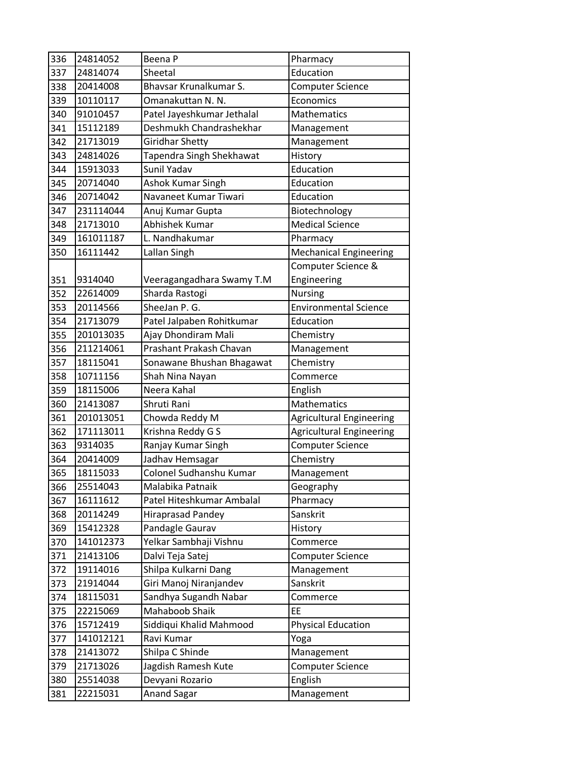| 336 | 24814052  | Beena P                    | Pharmacy                        |
|-----|-----------|----------------------------|---------------------------------|
| 337 | 24814074  | Sheetal                    | Education                       |
| 338 | 20414008  | Bhavsar Krunalkumar S.     | <b>Computer Science</b>         |
| 339 | 10110117  | Omanakuttan N. N.          | Economics                       |
| 340 | 91010457  | Patel Jayeshkumar Jethalal | <b>Mathematics</b>              |
| 341 | 15112189  | Deshmukh Chandrashekhar    | Management                      |
| 342 | 21713019  | Giridhar Shetty            | Management                      |
| 343 | 24814026  | Tapendra Singh Shekhawat   | History                         |
| 344 | 15913033  | Sunil Yadav                | Education                       |
| 345 | 20714040  | Ashok Kumar Singh          | Education                       |
| 346 | 20714042  | Navaneet Kumar Tiwari      | Education                       |
| 347 | 231114044 | Anuj Kumar Gupta           | Biotechnology                   |
| 348 | 21713010  | Abhishek Kumar             | <b>Medical Science</b>          |
| 349 | 161011187 | L. Nandhakumar             | Pharmacy                        |
| 350 | 16111442  | Lallan Singh               | <b>Mechanical Engineering</b>   |
|     |           |                            | Computer Science &              |
| 351 | 9314040   | Veeragangadhara Swamy T.M  | Engineering                     |
| 352 | 22614009  | Sharda Rastogi             | <b>Nursing</b>                  |
| 353 | 20114566  | SheeJan P. G.              | <b>Environmental Science</b>    |
| 354 | 21713079  | Patel Jalpaben Rohitkumar  | Education                       |
| 355 | 201013035 | Ajay Dhondiram Mali        | Chemistry                       |
| 356 | 211214061 | Prashant Prakash Chavan    | Management                      |
| 357 | 18115041  | Sonawane Bhushan Bhagawat  | Chemistry                       |
| 358 | 10711156  | Shah Nina Nayan            | Commerce                        |
| 359 | 18115006  | Neera Kahal                | English                         |
| 360 | 21413087  | Shruti Rani                | <b>Mathematics</b>              |
| 361 | 201013051 | Chowda Reddy M             | <b>Agricultural Engineering</b> |
| 362 | 171113011 | Krishna Reddy G S          | <b>Agricultural Engineering</b> |
| 363 | 9314035   | Ranjay Kumar Singh         | <b>Computer Science</b>         |
| 364 | 20414009  | Jadhav Hemsagar            | Chemistry                       |
| 365 | 18115033  | Colonel Sudhanshu Kumar    | Management                      |
| 366 | 25514043  | Malabika Patnaik           | Geography                       |
| 367 | 16111612  | Patel Hiteshkumar Ambalal  | Pharmacy                        |
| 368 | 20114249  | Hiraprasad Pandey          | Sanskrit                        |
| 369 | 15412328  | Pandagle Gaurav            | History                         |
| 370 | 141012373 | Yelkar Sambhaji Vishnu     | Commerce                        |
| 371 | 21413106  | Dalvi Teja Satej           | <b>Computer Science</b>         |
| 372 | 19114016  | Shilpa Kulkarni Dang       | Management                      |
| 373 | 21914044  | Giri Manoj Niranjandev     | Sanskrit                        |
| 374 | 18115031  | Sandhya Sugandh Nabar      | Commerce                        |
| 375 | 22215069  | Mahaboob Shaik             | EE                              |
| 376 | 15712419  | Siddiqui Khalid Mahmood    | <b>Physical Education</b>       |
| 377 | 141012121 | Ravi Kumar                 | Yoga                            |
| 378 | 21413072  | Shilpa C Shinde            | Management                      |
| 379 | 21713026  | Jagdish Ramesh Kute        | <b>Computer Science</b>         |
| 380 | 25514038  | Devyani Rozario            | English                         |
| 381 | 22215031  | <b>Anand Sagar</b>         | Management                      |